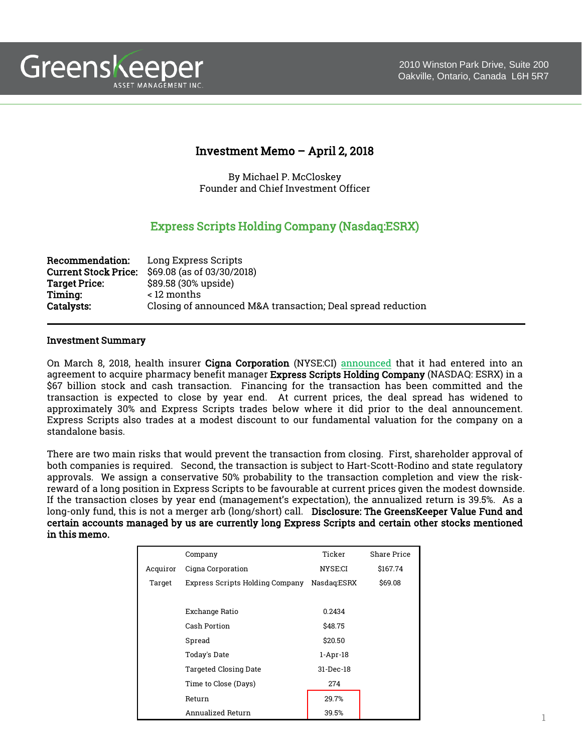



# Investment Memo – April 2, 2018

By Michael P. McCloskey Founder and Chief Investment Officer

# Express Scripts Holding Company (Nasdaq:ESRX)

| <b>Recommendation:</b>      | Long Express Scripts                                        |
|-----------------------------|-------------------------------------------------------------|
| <b>Current Stock Price:</b> | \$69.08 (as of 03/30/2018)                                  |
| <b>Target Price:</b>        | \$89.58 (30% upside)                                        |
| Timing:                     | < 12 months                                                 |
| <b>Catalysts:</b>           | Closing of announced M&A transaction; Deal spread reduction |

#### Investment Summary

On March 8, 2018, health insurer Cigna Corporation (NYSE:CI) [announced](http://www.makinghealthcaresimple.com/pdf/press_release.pdf) that it had entered into an agreement to acquire pharmacy benefit manager Express Scripts Holding Company (NASDAQ: ESRX) in a \$67 billion stock and cash transaction. Financing for the transaction has been committed and the transaction is expected to close by year end. At current prices, the deal spread has widened to approximately 30% and Express Scripts trades below where it did prior to the deal announcement. Express Scripts also trades at a modest discount to our fundamental valuation for the company on a standalone basis.

There are two main risks that would prevent the transaction from closing. First, shareholder approval of both companies is required. Second, the transaction is subject to Hart-Scott-Rodino and state regulatory approvals. We assign a conservative 50% probability to the transaction completion and view the riskreward of a long position in Express Scripts to be favourable at current prices given the modest downside. If the transaction closes by year end (management's expectation), the annualized return is 39.5%. As a long-only fund, this is not a merger arb (long/short) call. Disclosure: The GreensKeeper Value Fund and certain accounts managed by us are currently long Express Scripts and certain other stocks mentioned in this memo.

|          | Company                         | Ticker      | <b>Share Price</b> |
|----------|---------------------------------|-------------|--------------------|
| Acquiror | Cigna Corporation               | NYSE:CI     | \$167.74           |
| Target   | Express Scripts Holding Company | Nasdaq:ESRX | \$69.08            |
|          |                                 |             |                    |
|          | Exchange Ratio                  | 0.2434      |                    |
|          | Cash Portion                    | \$48.75     |                    |
|          | Spread                          | \$20.50     |                    |
|          | Today's Date                    | $1-Apr-18$  |                    |
|          | <b>Targeted Closing Date</b>    | 31-Dec-18   |                    |
|          | Time to Close (Days)            | 274         |                    |
|          | Return                          | 29.7%       |                    |
|          | Annualized Return               | 39.5%       |                    |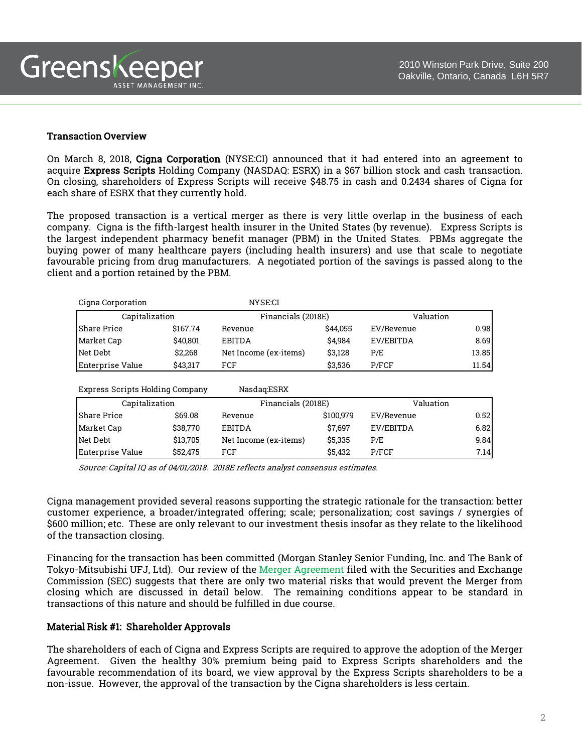

#### Transaction Overview

On March 8, 2018, Cigna Corporation (NYSE:CI) announced that it had entered into an agreement to acquire Express Scripts Holding Company (NASDAQ: ESRX) in a \$67 billion stock and cash transaction. On closing, shareholders of Express Scripts will receive \$48.75 in cash and 0.2434 shares of Cigna for each share of ESRX that they currently hold.

The proposed transaction is a vertical merger as there is very little overlap in the business of each company. Cigna is the fifth-largest health insurer in the United States (by revenue). Express Scripts is the largest independent pharmacy benefit manager (PBM) in the United States. PBMs aggregate the buying power of many healthcare payers (including health insurers) and use that scale to negotiate favourable pricing from drug manufacturers. A negotiated portion of the savings is passed along to the client and a portion retained by the PBM.

| Cigna Corporation               |          | NYSE:CI               |           |            |       |
|---------------------------------|----------|-----------------------|-----------|------------|-------|
| Capitalization                  |          | Financials (2018E)    |           | Valuation  |       |
| <b>Share Price</b>              | \$167.74 | Revenue               | \$44,055  | EV/Revenue | 0.98  |
| Market Cap                      | \$40,801 | <b>EBITDA</b>         | \$4.984   | EV/EBITDA  | 8.69  |
| Net Debt                        | \$2,268  | Net Income (ex-items) | \$3,128   | P/E        | 13.85 |
| Enterprise Value                | \$43,317 | FCF                   | \$3,536   | P/FCF      | 11.54 |
|                                 |          |                       |           |            |       |
| Express Scripts Holding Company |          | Nasdaq:ESRX           |           |            |       |
| Capitalization                  |          | Financials (2018E)    |           | Valuation  |       |
| <b>Share Price</b>              | \$69.08  | Revenue               | \$100,979 | EV/Revenue | 0.52  |
| Market Cap                      | \$38,770 | <b>EBITDA</b>         | \$7,697   | EV/EBITDA  | 6.82  |
| Net Debt                        | \$13,705 | Net Income (ex-items) | \$5,335   | P/E        | 9.84  |
| Enterprise Value                | \$52,475 | FCF                   | \$5,432   | P/FCF      | 7.14  |

Source: Capital IQ as of 04/01/2018. 2018E reflects analyst consensus estimates.

Cigna management provided several reasons supporting the strategic rationale for the transaction: better customer experience, a broader/integrated offering; scale; personalization; cost savings / synergies of \$600 million; etc. These are only relevant to our investment thesis insofar as they relate to the likelihood of the transaction closing.

Financing for the transaction has been committed (Morgan Stanley Senior Funding, Inc. and The Bank of Tokyo-Mitsubishi UFJ, Ltd). Our review of the Merger [Agreement](https://www.sec.gov/Archives/edgar/data/701221/000095015918000095/0000950159-18-000095-index.htm) filed with the Securities and Exchange Commission (SEC) suggests that there are only two material risks that would prevent the Merger from closing which are discussed in detail below. The remaining conditions appear to be standard in transactions of this nature and should be fulfilled in due course.

## Material Risk #1: Shareholder Approvals

The shareholders of each of Cigna and Express Scripts are required to approve the adoption of the Merger Agreement. Given the healthy 30% premium being paid to Express Scripts shareholders and the favourable recommendation of its board, we view approval by the Express Scripts shareholders to be a non-issue. However, the approval of the transaction by the Cigna shareholders is less certain.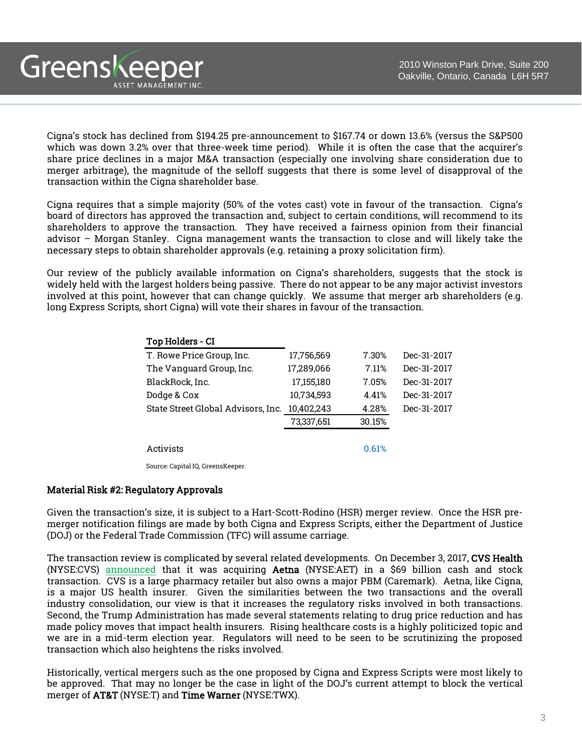Cigna's stock has declined from \$194.25 pre-announcement to \$167.74 or down 13.6% (versus the S&P500 which was down 3.2% over that three-week time period). While it is often the case that the acquirer's share price declines in a major M&A transaction (especially one involving share consideration due to merger arbitrage), the magnitude of the selloff suggests that there is some level of disapproval of the transaction within the Cigna shareholder base.

Cigna requires that a simple majority (50% of the votes cast) vote in favour of the transaction. Cigna's board of directors has approved the transaction and, subject to certain conditions, will recommend to its shareholders to approve the transaction. They have received a fairness opinion from their financial advisor – Morgan Stanley. Cigna management wants the transaction to close and will likely take the necessary steps to obtain shareholder approvals (e.g. retaining a proxy solicitation firm).

Our review of the publicly available information on Cigna's shareholders, suggests that the stock is widely held with the largest holders being passive. There do not appear to be any major activist investors involved at this point, however that can change quickly. We assume that merger arb shareholders (e.g. long Express Scripts, short Cigna) will vote their shares in favour of the transaction.

| Top Holders - CI                   |            |        |             |
|------------------------------------|------------|--------|-------------|
| T. Rowe Price Group, Inc.          | 17,756,569 | 7.30%  | Dec-31-2017 |
| The Vanguard Group, Inc.           | 17,289,066 | 7.11%  | Dec-31-2017 |
| BlackRock, Inc.                    | 17,155,180 | 7.05%  | Dec-31-2017 |
| Dodge & Cox                        | 10,734,593 | 4.41%  | Dec-31-2017 |
| State Street Global Advisors, Inc. | 10,402,243 | 4.28%  | Dec-31-2017 |
|                                    | 73,337,651 | 30.15% |             |
|                                    |            |        |             |
| Activists                          |            | 0.61%  |             |
|                                    |            |        |             |

Source: Capital IQ, GreensKeeper.

#### Material Risk #2: Regulatory Approvals

Greenskeeper

ASSET MANAGEMENT INC.

Given the transaction's size, it is subject to a Hart-Scott-Rodino (HSR) merger review. Once the HSR premerger notification filings are made by both Cigna and Express Scripts, either the Department of Justice (DOJ) or the Federal Trade Commission (TFC) will assume carriage.

The transaction review is complicated by several related developments. On December 3, 2017, CVS Health (NYSE:CVS) [announced](https://cvshealth.com/newsroom/press-releases/cvs-health-acquire-aetna-combination-provide-consumers-better-experience) that it was acquiring Aetna (NYSE:AET) in a \$69 billion cash and stock transaction. CVS is a large pharmacy retailer but also owns a major PBM (Caremark). Aetna, like Cigna, is a major US health insurer. Given the similarities between the two transactions and the overall industry consolidation, our view is that it increases the regulatory risks involved in both transactions. Second, the Trump Administration has made several statements relating to drug price reduction and has made policy moves that impact health insurers. Rising healthcare costs is a highly politicized topic and we are in a mid-term election year. Regulators will need to be seen to be scrutinizing the proposed transaction which also heightens the risks involved.

Historically, vertical mergers such as the one proposed by Cigna and Express Scripts were most likely to be approved. That may no longer be the case in light of the DOJ's current attempt to block the vertical merger of AT&T (NYSE:T) and Time Warner (NYSE:TWX).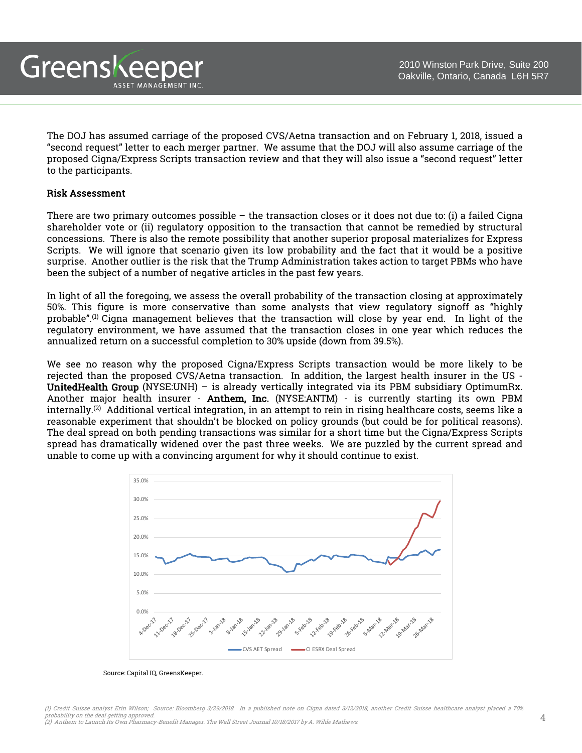The DOJ has assumed carriage of the proposed CVS/Aetna transaction and on February 1, 2018, issued a "second request" letter to each merger partner. We assume that the DOJ will also assume carriage of the proposed Cigna/Express Scripts transaction review and that they will also issue a "second request" letter to the participants.

#### Risk Assessment

Greenskeeper

ASSET MANAGEMENT INC

There are two primary outcomes possible  $-$  the transaction closes or it does not due to: (i) a failed Cigna shareholder vote or (ii) regulatory opposition to the transaction that cannot be remedied by structural concessions. There is also the remote possibility that another superior proposal materializes for Express Scripts. We will ignore that scenario given its low probability and the fact that it would be a positive surprise. Another outlier is the risk that the Trump Administration takes action to target PBMs who have been the subject of a number of negative articles in the past few years.

In light of all the foregoing, we assess the overall probability of the transaction closing at approximately 50%. This figure is more conservative than some analysts that view regulatory signoff as "highly probable". (1) Cigna management believes that the transaction will close by year end. In light of the regulatory environment, we have assumed that the transaction closes in one year which reduces the annualized return on a successful completion to 30% upside (down from 39.5%).

We see no reason why the proposed Cigna/Express Scripts transaction would be more likely to be rejected than the proposed CVS/Aetna transaction. In addition, the largest health insurer in the US - UnitedHealth Group (NYSE:UNH) – is already vertically integrated via its PBM subsidiary OptimumRx. Another major health insurer - Anthem, Inc. (NYSE:ANTM) - is currently starting its own PBM internally.<sup>(2)</sup> Additional vertical integration, in an attempt to rein in rising healthcare costs, seems like a reasonable experiment that shouldn't be blocked on policy grounds (but could be for political reasons). The deal spread on both pending transactions was similar for a short time but the Cigna/Express Scripts spread has dramatically widened over the past three weeks. We are puzzled by the current spread and unable to come up with a convincing argument for why it should continue to exist.



#### Source: Capital IQ, GreensKeeper.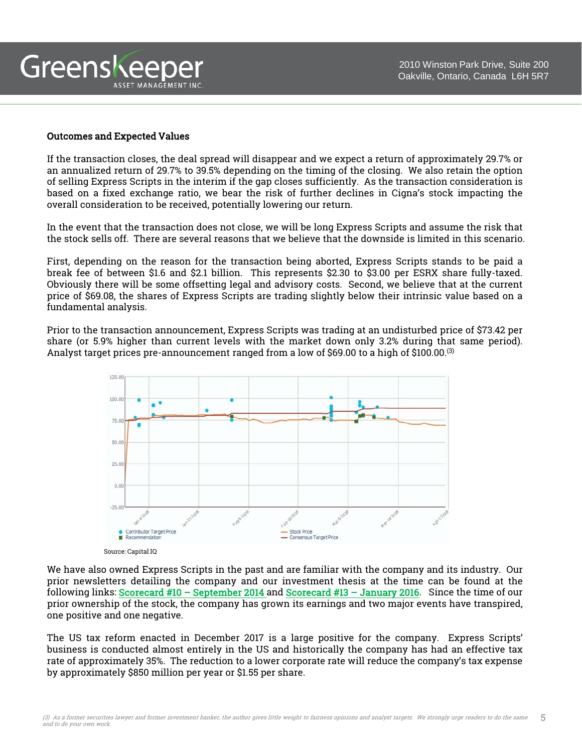#### Outcomes and Expected Values

ASSET MANAGEMENT INC

Greenskeeper

If the transaction closes, the deal spread will disappear and we expect a return of approximately 29.7% or an annualized return of 29.7% to 39.5% depending on the timing of the closing. We also retain the option of selling Express Scripts in the interim if the gap closes sufficiently. As the transaction consideration is based on a fixed exchange ratio, we bear the risk of further declines in Cigna's stock impacting the overall consideration to be received, potentially lowering our return.

In the event that the transaction does not close, we will be long Express Scripts and assume the risk that the stock sells off. There are several reasons that we believe that the downside is limited in this scenario.

First, depending on the reason for the transaction being aborted, Express Scripts stands to be paid a break fee of between \$1.6 and \$2.1 billion. This represents \$2.30 to \$3.00 per ESRX share fully-taxed. Obviously there will be some offsetting legal and advisory costs. Second, we believe that at the current price of \$69.08, the shares of Express Scripts are trading slightly below their intrinsic value based on a fundamental analysis.

Prior to the transaction announcement, Express Scripts was trading at an undisturbed price of \$73.42 per share (or 5.9% higher than current levels with the market down only 3.2% during that same period). Analyst target prices pre-announcement ranged from a low of \$69.00 to a high of \$100.00.<sup>(3)</sup>



Source: Capital IQ

We have also owned Express Scripts in the past and are familiar with the company and its industry. Our prior newsletters detailing the company and our investment thesis at the time can be found at the following links: Scorecard #10 – [September](https://www.greenskeeper.ca/wp-content/uploads/2016/10/The-Scorecard-Issue-10-Steady-Progress.pdf) 2014 and [Scorecard](https://www.greenskeeper.ca/wp-content/uploads/2016/10/The-Scorecard-Issue-13-Tug-of-WaR.pdf) #13 – January 2016. Since the time of our prior ownership of the stock, the company has grown its earnings and two major events have transpired, one positive and one negative.

The US tax reform enacted in December 2017 is a large positive for the company. Express Scripts' business is conducted almost entirely in the US and historically the company has had an effective tax rate of approximately 35%. The reduction to a lower corporate rate will reduce the company's tax expense by approximately \$850 million per year or \$1.55 per share.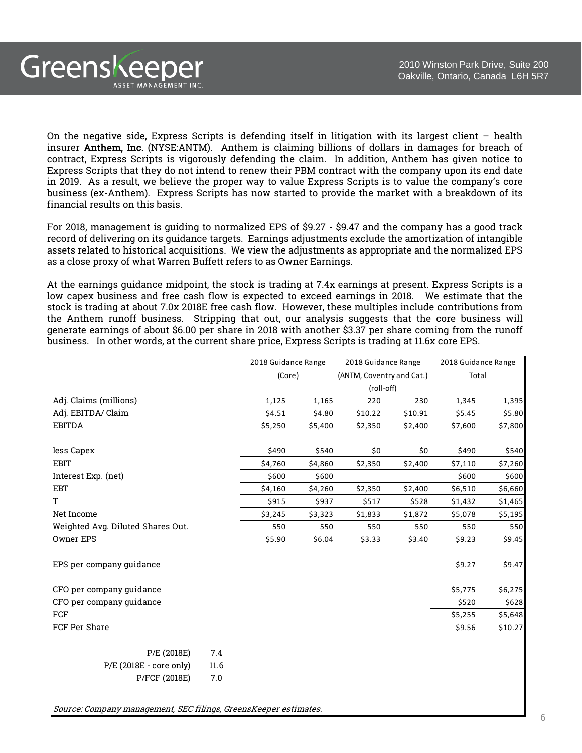On the negative side, Express Scripts is defending itself in litigation with its largest client – health insurer Anthem, Inc. (NYSE:ANTM). Anthem is claiming billions of dollars in damages for breach of contract, Express Scripts is vigorously defending the claim. In addition, Anthem has given notice to Express Scripts that they do not intend to renew their PBM contract with the company upon its end date in 2019. As a result, we believe the proper way to value Express Scripts is to value the company's core business (ex-Anthem). Express Scripts has now started to provide the market with a breakdown of its financial results on this basis.

Greenskeeper

ASSET MANAGEMENT INC

For 2018, management is guiding to normalized EPS of \$9.27 - \$9.47 and the company has a good track record of delivering on its guidance targets. Earnings adjustments exclude the amortization of intangible assets related to historical acquisitions. We view the adjustments as appropriate and the normalized EPS as a close proxy of what Warren Buffett refers to as Owner Earnings.

At the earnings guidance midpoint, the stock is trading at 7.4x earnings at present. Express Scripts is a low capex business and free cash flow is expected to exceed earnings in 2018. We estimate that the stock is trading at about 7.0x 2018E free cash flow. However, these multiples include contributions from the Anthem runoff business. Stripping that out, our analysis suggests that the core business will generate earnings of about \$6.00 per share in 2018 with another \$3.37 per share coming from the runoff business. In other words, at the current share price, Express Scripts is trading at 11.6x core EPS.

|                                   |        | 2018 Guidance Range |                           | 2018 Guidance Range |         | 2018 Guidance Range |         |
|-----------------------------------|--------|---------------------|---------------------------|---------------------|---------|---------------------|---------|
|                                   | (Core) |                     | (ANTM, Coventry and Cat.) |                     | Total   |                     |         |
|                                   |        |                     |                           | (roll-off)          |         |                     |         |
| Adj. Claims (millions)            |        | 1,125               | 1,165                     | 220                 | 230     | 1,345               | 1,395   |
| Adj. EBITDA/ Claim                |        | \$4.51              | \$4.80                    | \$10.22             | \$10.91 | \$5.45              | \$5.80  |
| EBITDA                            |        | \$5,250             | \$5,400                   | \$2,350             | \$2,400 | \$7,600             | \$7,800 |
| less Capex                        |        | \$490               | \$540                     | \$0                 | \$0     | \$490               | \$540   |
| <b>EBIT</b>                       |        | \$4,760             | \$4,860                   | \$2,350             | \$2,400 | \$7,110             | \$7,260 |
| Interest Exp. (net)               |        | \$600               | \$600                     |                     |         | \$600               | \$600   |
| <b>EBT</b>                        |        | \$4,160             | \$4,260                   | \$2,350             | \$2,400 | \$6,510             | \$6,660 |
| T                                 |        | \$915               | \$937                     | \$517               | \$528   | \$1,432             | \$1,465 |
| Net Income                        |        | \$3,245             | \$3,323                   | \$1,833             | \$1,872 | \$5,078             | \$5,195 |
| Weighted Avg. Diluted Shares Out. |        | 550                 | 550                       | 550                 | 550     | 550                 | 550     |
| Owner EPS                         |        | \$5.90              | \$6.04                    | \$3.33              | \$3.40  | \$9.23              | \$9.45  |
| EPS per company guidance          |        |                     |                           |                     |         | \$9.27              | \$9.47  |
| CFO per company guidance          |        |                     |                           |                     |         | \$5,775             | \$6,275 |
| CFO per company guidance          |        |                     |                           |                     |         | \$520               | \$628   |
| FCF                               |        |                     |                           |                     |         | \$5,255             | \$5,648 |
| FCF Per Share                     |        |                     |                           |                     |         | \$9.56              | \$10.27 |
| P/E (2018E)                       | 7.4    |                     |                           |                     |         |                     |         |
| $P/E$ (2018E - core only)         | 11.6   |                     |                           |                     |         |                     |         |
| P/FCF (2018E)                     | 7.0    |                     |                           |                     |         |                     |         |

Source: Company management, SEC filings, GreensKeeper estimates.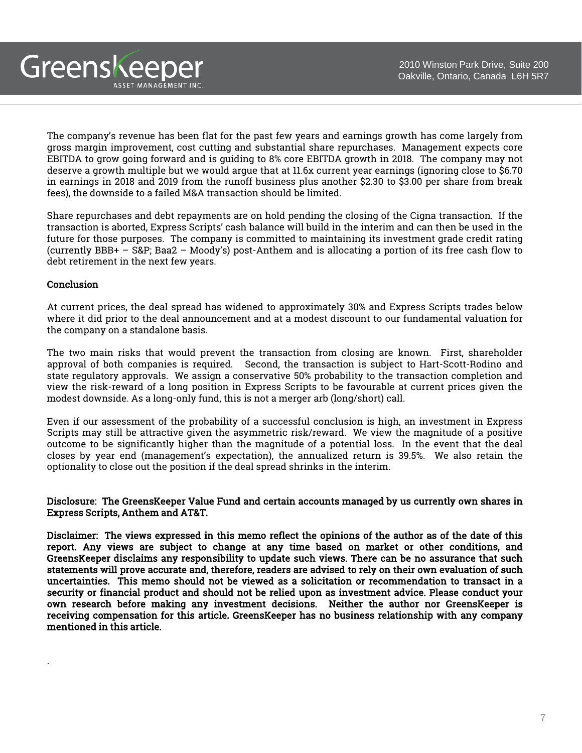The company's revenue has been flat for the past few years and earnings growth has come largely from gross margin improvement, cost cutting and substantial share repurchases. Management expects core EBITDA to grow going forward and is guiding to 8% core EBITDA growth in 2018. The company may not deserve a growth multiple but we would argue that at 11.6x current year earnings (ignoring close to \$6.70 in earnings in 2018 and 2019 from the runoff business plus another \$2.30 to \$3.00 per share from break fees), the downside to a failed M&A transaction should be limited.

Share repurchases and debt repayments are on hold pending the closing of the Cigna transaction. If the transaction is aborted, Express Scripts' cash balance will build in the interim and can then be used in the future for those purposes. The company is committed to maintaining its investment grade credit rating (currently BBB+ – S&P; Baa2 – Moody's) post-Anthem and is allocating a portion of its free cash flow to debt retirement in the next few years.

### **Conclusion**

Greenskeeper

ASSET MANAGEMENT INC

.

At current prices, the deal spread has widened to approximately 30% and Express Scripts trades below where it did prior to the deal announcement and at a modest discount to our fundamental valuation for the company on a standalone basis.

The two main risks that would prevent the transaction from closing are known. First, shareholder approval of both companies is required. Second, the transaction is subject to Hart-Scott-Rodino and state regulatory approvals. We assign a conservative 50% probability to the transaction completion and view the risk-reward of a long position in Express Scripts to be favourable at current prices given the modest downside. As a long-only fund, this is not a merger arb (long/short) call.

Even if our assessment of the probability of a successful conclusion is high, an investment in Express Scripts may still be attractive given the asymmetric risk/reward. We view the magnitude of a positive outcome to be significantly higher than the magnitude of a potential loss. In the event that the deal closes by year end (management's expectation), the annualized return is 39.5%. We also retain the optionality to close out the position if the deal spread shrinks in the interim.

### Disclosure: The GreensKeeper Value Fund and certain accounts managed by us currently own shares in Express Scripts, Anthem and AT&T.

Disclaimer: The views expressed in this memo reflect the opinions of the author as of the date of this report. Any views are subject to change at any time based on market or other conditions, and GreensKeeper disclaims any responsibility to update such views. There can be no assurance that such statements will prove accurate and, therefore, readers are advised to rely on their own evaluation of such uncertainties. This memo should not be viewed as a solicitation or recommendation to transact in a security or financial product and should not be relied upon as investment advice. Please conduct your own research before making any investment decisions. Neither the author nor GreensKeeper is receiving compensation for this article. GreensKeeper has no business relationship with any company mentioned in this article.